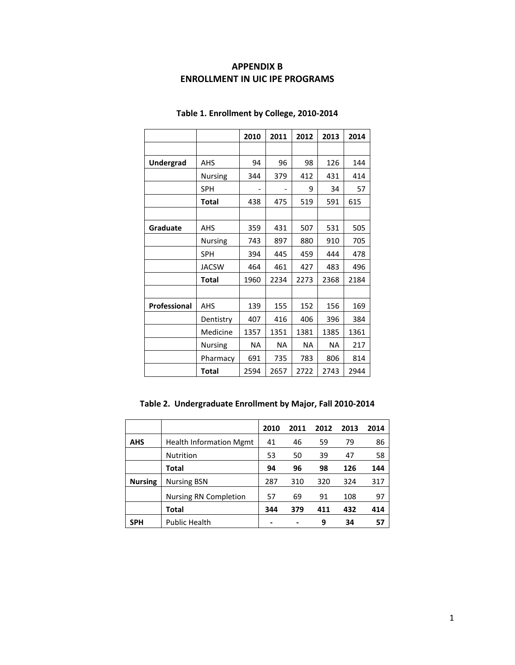## **APPENDIX B ENROLLMENT IN UIC IPE PROGRAMS**

|              |              | 2010      | 2011      | 2012      | 2013      | 2014 |
|--------------|--------------|-----------|-----------|-----------|-----------|------|
|              |              |           |           |           |           |      |
| Undergrad    | <b>AHS</b>   | 94        | 96        | 98        | 126       | 144  |
|              | Nursing      | 344       | 379       | 412       | 431       | 414  |
|              | <b>SPH</b>   |           |           | 9         | 34        | 57   |
|              | <b>Total</b> | 438       | 475       | 519       | 591       | 615  |
|              |              |           |           |           |           |      |
| Graduate     | <b>AHS</b>   | 359       | 431       | 507       | 531       | 505  |
|              | Nursing      | 743       | 897       | 880       | 910       | 705  |
|              | <b>SPH</b>   | 394       | 445       | 459       | 444       | 478  |
|              | <b>JACSW</b> | 464       | 461       | 427       | 483       | 496  |
|              | <b>Total</b> | 1960      | 2234      | 2273      | 2368      | 2184 |
|              |              |           |           |           |           |      |
| Professional | AHS          | 139       | 155       | 152       | 156       | 169  |
|              | Dentistry    | 407       | 416       | 406       | 396       | 384  |
|              | Medicine     | 1357      | 1351      | 1381      | 1385      | 1361 |
|              | Nursing      | <b>NA</b> | <b>NA</b> | <b>NA</b> | <b>NA</b> | 217  |
|              | Pharmacy     | 691       | 735       | 783       | 806       | 814  |
|              | <b>Total</b> | 2594      | 2657      | 2722      | 2743      | 2944 |

## **Table 1. Enrollment by College, 2010-2014**

**Table 2. Undergraduate Enrollment by Major, Fall 2010-2014**

|                |                                | 2010 | 2011 | 2012 | 2013 | 2014 |
|----------------|--------------------------------|------|------|------|------|------|
| <b>AHS</b>     | <b>Health Information Mgmt</b> | 41   | 46   | 59   | 79   | 86   |
|                | <b>Nutrition</b>               | 53   | 50   | 39   | 47   | 58   |
|                | Total                          | 94   | 96   | 98   | 126  | 144  |
| <b>Nursing</b> | <b>Nursing BSN</b>             | 287  | 310  | 320  | 324  | 317  |
|                | <b>Nursing RN Completion</b>   | 57   | 69   | 91   | 108  | 97   |
|                | Total                          | 344  | 379  | 411  | 432  | 414  |
| <b>SPH</b>     | <b>Public Health</b>           |      |      | 9    | 34   | 57   |